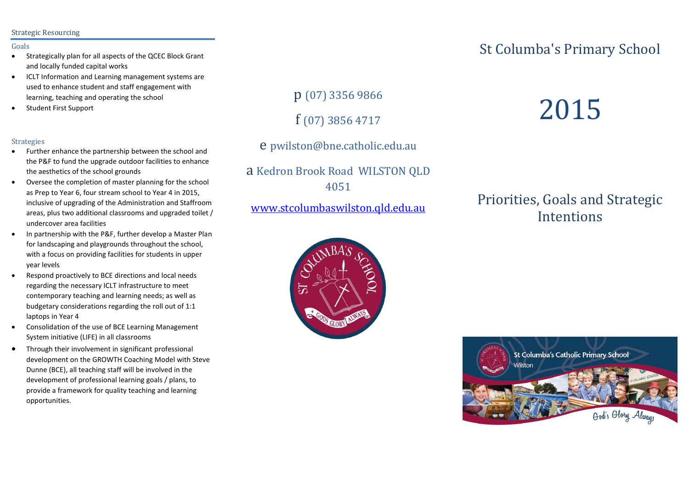#### Strategic Resourcing

#### Goals

- Strategically plan for all aspects of the QCEC Block Grant and locally funded capital works
- ICLT Information and Learning management systems are used to enhance student and staff engagement with learning, teaching and operating the school
- **•** Student First Support

#### Strategies

- Further enhance the partnership between the school and the P&F to fund the upgrade outdoor facilities to enhance the aesthetics of the school grounds
- Oversee the completion of master planning for the school as Prep to Year 6, four stream school to Year 4 in 2015, inclusive of upgrading of the Administration and Staffroom areas, plus two additional classrooms and upgraded toilet / undercover area facilities
- In partnership with the P&F, further develop a Master Plan for landscaping and playgrounds throughout the school, with a focus on providing facilities for students in upper year levels
- Respond proactively to BCE directions and local needs regarding the necessary ICLT infrastructure to meet contemporary teaching and learning needs; as well as budgetary considerations regarding the roll out of 1:1 laptops in Year 4
- Consolidation of the use of BCE Learning Management System initiative (LIFE) in all classrooms
- Through their involvement in significant professional development on the GROWTH Coaching Model with Steve Dunne (BCE), all teaching staff will be involved in the development of professional learning goals / plans, to provide a framework for quality teaching and learning opportunities.

p (07) 3356 9866

f (07) 3856 4717

e pwilston@bne.catholic.edu.au

a Kedron Brook Road WILSTON QLD 4051

[www.stcolumbaswilston.qld.edu.au](http://www.stcolumbaswilston.qld.edu.au/)

# 57 **GLORY**

## St Columba's Primary School

# 2015

## Priorities, Goals and Strategic **Intentions**